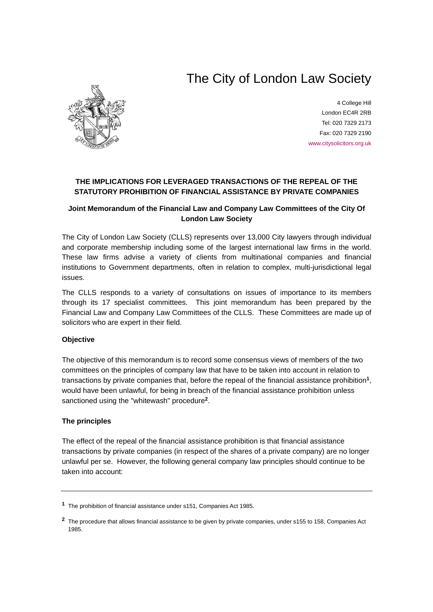# The City of London Law Society



4 College Hill London EC4R 2RB Tel: 020 7329 2173 Fax: 020 7329 2190 [www.citysolicitors.org.uk](http://www.citysolicitors.org.uk/)

# **THE IMPLICATIONS FOR LEVERAGED TRANSACTIONS OF THE REPEAL OF THE STATUTORY PROHIBITION OF FINANCIAL ASSISTANCE BY PRIVATE COMPANIES**

# **Joint Memorandum of the Financial Law and Company Law Committees of the City Of London Law Society**

The City of London Law Society (CLLS) represents over 13,000 City lawyers through individual and corporate membership including some of the largest international law firms in the world. These law firms advise a variety of clients from multinational companies and financial institutions to Government departments, often in relation to complex, multi-jurisdictional legal issues.

The CLLS responds to a variety of consultations on issues of importance to its members through its 17 specialist committees. This joint memorandum has been prepared by the Financial Law and Company Law Committees of the CLLS. These Committees are made up of solicitors who are expert in their field.

## **Objective**

The objective of this memorandum is to record some consensus views of members of the two committees on the principles of company law that have to be taken into account in relation to transactions by private companies that, before the repeal of the financial assistance prohibition**[1](#page-0-0)**, would have been unlawful, for being in breach of the financial assistance prohibition unless sanctioned using the "whitewash" procedure**[2](#page-0-1)**.

## **The principles**

The effect of the repeal of the financial assistance prohibition is that financial assistance transactions by private companies (in respect of the shares of a private company) are no longer unlawful per se. However, the following general company law principles should continue to be taken into account:

<span id="page-0-0"></span>**<sup>1</sup>** The prohibition of financial assistance under s151, Companies Act 1985.

<span id="page-0-1"></span>**<sup>2</sup>** The procedure that allows financial assistance to be given by private companies, under s155 to 158, Companies Act 1985.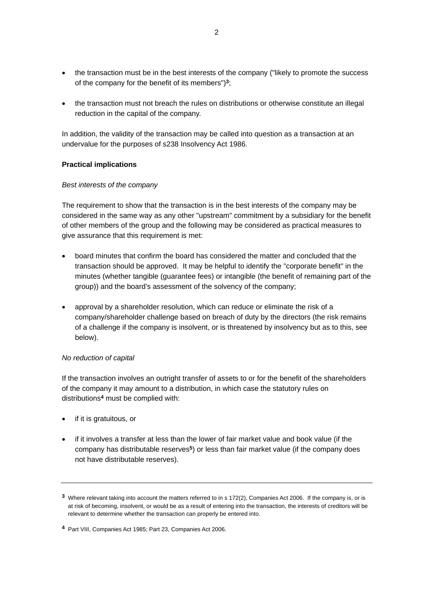- the transaction must be in the best interests of the company ("likely to promote the success") of the company for the benefit of its members")**[3](#page-1-0)**;
- the transaction must not breach the rules on distributions or otherwise constitute an illegal reduction in the capital of the company.

In addition, the validity of the transaction may be called into question as a transaction at an undervalue for the purposes of s238 Insolvency Act 1986.

## **Practical implications**

## *Best interests of the company*

The requirement to show that the transaction is in the best interests of the company may be considered in the same way as any other "upstream" commitment by a subsidiary for the benefit of other members of the group and the following may be considered as practical measures to give assurance that this requirement is met:

- board minutes that confirm the board has considered the matter and concluded that the transaction should be approved. It may be helpful to identify the "corporate benefit" in the minutes (whether tangible (guarantee fees) or intangible (the benefit of remaining part of the group)) and the board's assessment of the solvency of the company;
- approval by a shareholder resolution, which can reduce or eliminate the risk of a company/shareholder challenge based on breach of duty by the directors (the risk remains of a challenge if the company is insolvent, or is threatened by insolvency but as to this, see below).

## *No reduction of capital*

If the transaction involves an outright transfer of assets to or for the benefit of the shareholders of the company it may amount to a distribution, in which case the statutory rules on distributions**[4](#page-1-1)** must be complied with:

- if it is gratuitous, or
- if it involves a transfer at less than the lower of fair market value and book value (if the company has distributable reserves**[5](#page-1-2)**) or less than fair market value (if the company does not have distributable reserves).

<span id="page-1-2"></span><span id="page-1-0"></span>**<sup>3</sup>** Where relevant taking into account the matters referred to in s 172(2), Companies Act 2006. If the company is, or is at risk of becoming, insolvent, or would be as a result of entering into the transaction, the interests of creditors will be relevant to determine whether the transaction can properly be entered into.

<span id="page-1-1"></span>**<sup>4</sup>** Part VIII, Companies Act 1985; Part 23, Companies Act 2006.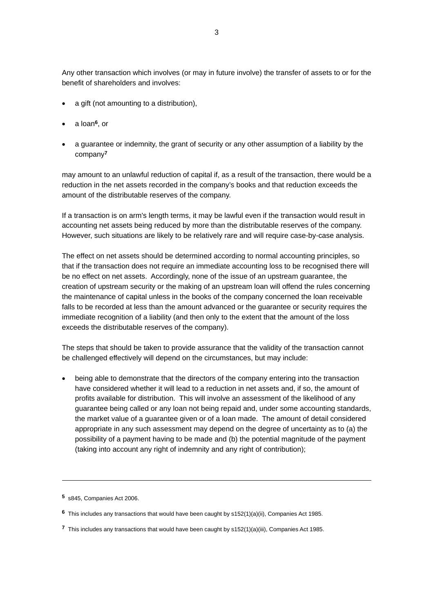Any other transaction which involves (or may in future involve) the transfer of assets to or for the benefit of shareholders and involves:

- a gift (not amounting to a distribution),
- a loan**[6](#page-2-0)**, or
- a guarantee or indemnity, the grant of security or any other assumption of a liability by the company**[7](#page-2-1)**

may amount to an unlawful reduction of capital if, as a result of the transaction, there would be a reduction in the net assets recorded in the company's books and that reduction exceeds the amount of the distributable reserves of the company.

If a transaction is on arm's length terms, it may be lawful even if the transaction would result in accounting net assets being reduced by more than the distributable reserves of the company. However, such situations are likely to be relatively rare and will require case-by-case analysis.

The effect on net assets should be determined according to normal accounting principles, so that if the transaction does not require an immediate accounting loss to be recognised there will be no effect on net assets. Accordingly, none of the issue of an upstream guarantee, the creation of upstream security or the making of an upstream loan will offend the rules concerning the maintenance of capital unless in the books of the company concerned the loan receivable falls to be recorded at less than the amount advanced or the guarantee or security requires the immediate recognition of a liability (and then only to the extent that the amount of the loss exceeds the distributable reserves of the company).

The steps that should be taken to provide assurance that the validity of the transaction cannot be challenged effectively will depend on the circumstances, but may include:

• being able to demonstrate that the directors of the company entering into the transaction have considered whether it will lead to a reduction in net assets and, if so, the amount of profits available for distribution. This will involve an assessment of the likelihood of any guarantee being called or any loan not being repaid and, under some accounting standards, the market value of a guarantee given or of a loan made. The amount of detail considered appropriate in any such assessment may depend on the degree of uncertainty as to (a) the possibility of a payment having to be made and (b) the potential magnitude of the payment (taking into account any right of indemnity and any right of contribution);

-

**<sup>5</sup>** s845, Companies Act 2006.

<span id="page-2-0"></span>**<sup>6</sup>** This includes any transactions that would have been caught by s152(1)(a)(ii), Companies Act 1985.

<span id="page-2-1"></span>**<sup>7</sup>** This includes any transactions that would have been caught by s152(1)(a)(iii), Companies Act 1985.